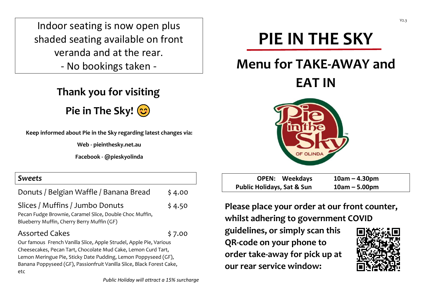Indoor seating is now open plus shaded seating available on front veranda and at the rear.

- No bookings taken -

## **Thank you for visiting**

**Pie in The Sky!**

**Keep informed about Pie in the Sky regarding latest changes via:**

**Web - pieinthesky.net.au**

**Facebook - @pieskyolinda**

| <b>Sweets</b>                                                                                                                                                                                                                                                                                                     |        |  |
|-------------------------------------------------------------------------------------------------------------------------------------------------------------------------------------------------------------------------------------------------------------------------------------------------------------------|--------|--|
| Donuts / Belgian Waffle / Banana Bread                                                                                                                                                                                                                                                                            | \$4.00 |  |
| Slices / Muffins / Jumbo Donuts<br>Pecan Fudge Brownie, Caramel Slice, Double Choc Muffin,<br>Blueberry Muffin, Cherry Berry Muffin (GF)                                                                                                                                                                          | \$4.50 |  |
| <b>Assorted Cakes</b><br>\$7.00<br>Our famous French Vanilla Slice, Apple Strudel, Apple Pie, Various<br>Cheesecakes, Pecan Tart, Chocolate Mud Cake, Lemon Curd Tart,<br>Lemon Meringue Pie, Sticky Date Pudding, Lemon Poppyseed (GF),<br>Banana Poppyseed (GF), Passionfruit Vanilla Slice, Black Forest Cake, |        |  |
| etc<br>Public Holiday will attract a 15% surcharge                                                                                                                                                                                                                                                                |        |  |

# **PIE IN THE SKY**

## **Menu for TAKE-AWAY and**

**EAT IN**



| <b>OPEN: Weekdays</b>                 | $10am - 4.30pm$ |
|---------------------------------------|-----------------|
| <b>Public Holidays, Sat &amp; Sun</b> | $10am - 5.00pm$ |

**Please place your order at our front counter, whilst adhering to government COVID**

**guidelines, or simply scan this QR-code on your phone to order take-away for pick up at our rear service window:**